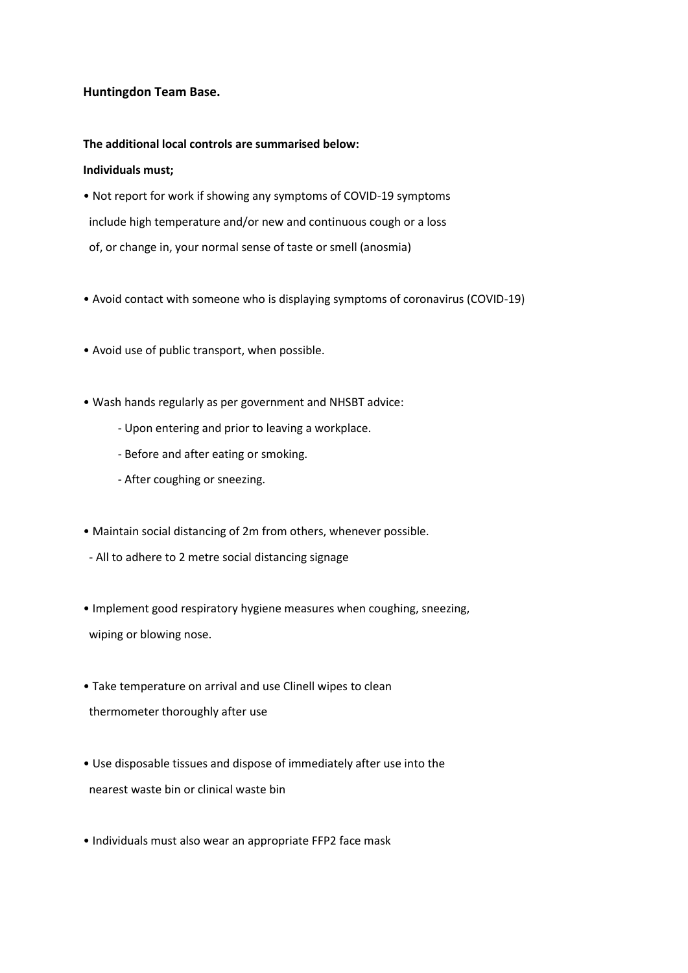## **Huntingdon Team Base.**

## **The additional local controls are summarised below:**

## **Individuals must;**

- Not report for work if showing any symptoms of COVID-19 symptoms include high temperature and/or new and continuous cough or a loss of, or change in, your normal sense of taste or smell (anosmia)
- Avoid contact with someone who is displaying symptoms of coronavirus (COVID-19)
- Avoid use of public transport, when possible.
- Wash hands regularly as per government and NHSBT advice:
	- Upon entering and prior to leaving a workplace.
	- Before and after eating or smoking.
	- After coughing or sneezing.
- Maintain social distancing of 2m from others, whenever possible.
- All to adhere to 2 metre social distancing signage
- Implement good respiratory hygiene measures when coughing, sneezing, wiping or blowing nose.
- Take temperature on arrival and use Clinell wipes to clean thermometer thoroughly after use
- Use disposable tissues and dispose of immediately after use into the nearest waste bin or clinical waste bin
- Individuals must also wear an appropriate FFP2 face mask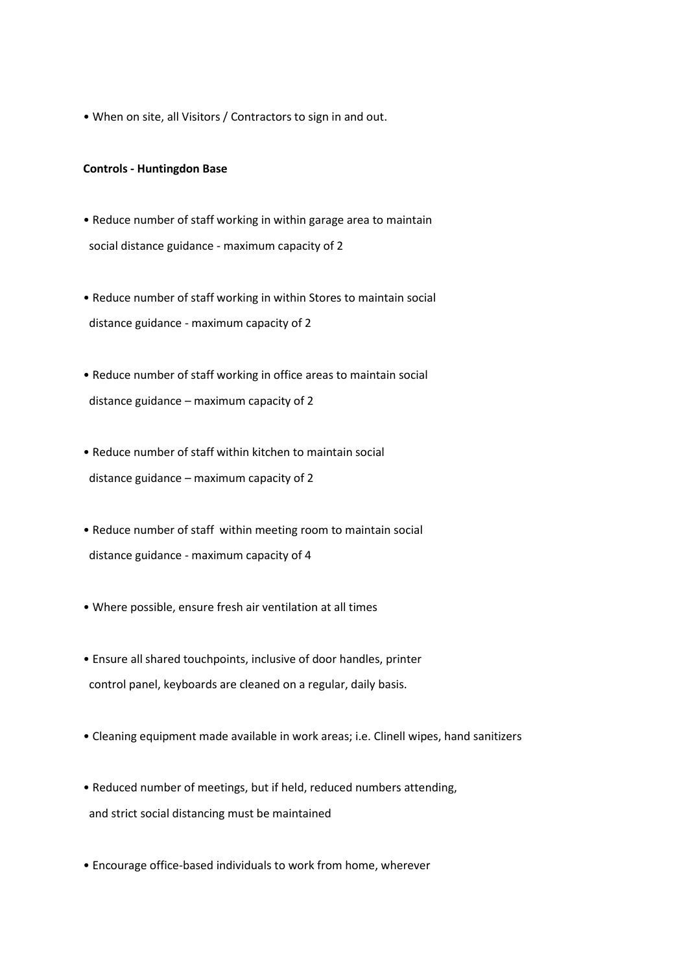• When on site, all Visitors / Contractors to sign in and out.

#### **Controls - Huntingdon Base**

- Reduce number of staff working in within garage area to maintain social distance guidance - maximum capacity of 2
- Reduce number of staff working in within Stores to maintain social distance guidance - maximum capacity of 2
- Reduce number of staff working in office areas to maintain social distance guidance – maximum capacity of 2
- Reduce number of staff within kitchen to maintain social distance guidance – maximum capacity of 2
- Reduce number of staff within meeting room to maintain social distance guidance - maximum capacity of 4
- Where possible, ensure fresh air ventilation at all times
- Ensure all shared touchpoints, inclusive of door handles, printer control panel, keyboards are cleaned on a regular, daily basis.
- Cleaning equipment made available in work areas; i.e. Clinell wipes, hand sanitizers
- Reduced number of meetings, but if held, reduced numbers attending, and strict social distancing must be maintained
- Encourage office-based individuals to work from home, wherever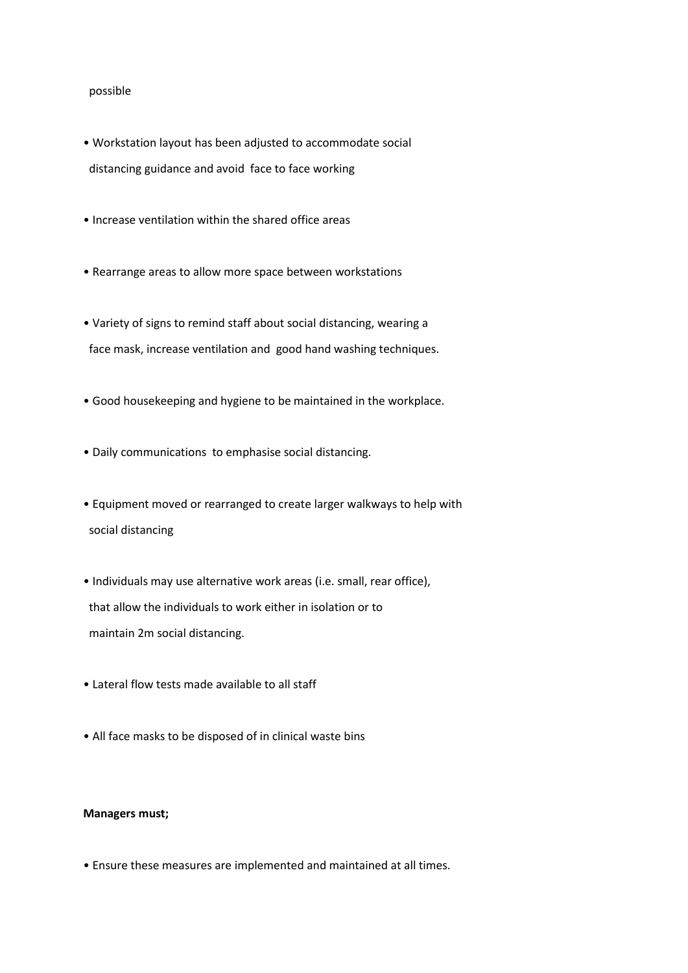#### possible

- Workstation layout has been adjusted to accommodate social distancing guidance and avoid face to face working
- Increase ventilation within the shared office areas
- Rearrange areas to allow more space between workstations
- Variety of signs to remind staff about social distancing, wearing a face mask, increase ventilation and good hand washing techniques.
- Good housekeeping and hygiene to be maintained in the workplace.
- Daily communications to emphasise social distancing.
- Equipment moved or rearranged to create larger walkways to help with social distancing
- Individuals may use alternative work areas (i.e. small, rear office), that allow the individuals to work either in isolation or to maintain 2m social distancing.
- Lateral flow tests made available to all staff
- All face masks to be disposed of in clinical waste bins

## **Managers must;**

• Ensure these measures are implemented and maintained at all times.